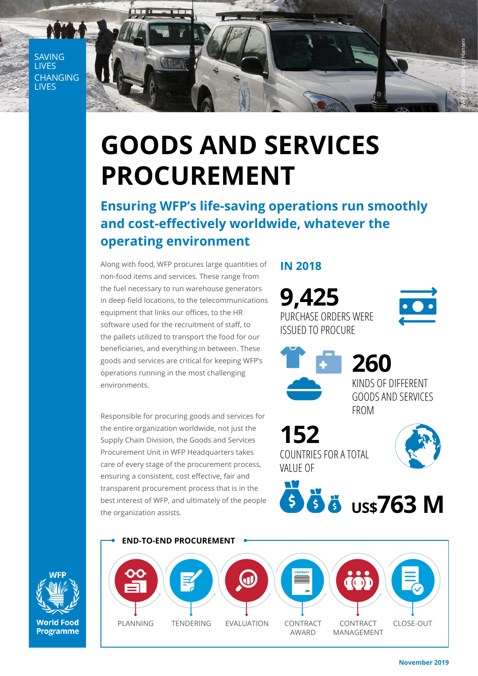**SAVING** LIVES **CHANGING LIVES** 



## **GOODS AND SERVICES PROCUREMENT**

**Ensuring WFP's life-saving operations run smoothly and cost-effectively worldwide, whatever the operating environment**

Along with food, WFP procures large quantities of non-food items and services. These range from the fuel necessary to run warehouse generators in deep field locations, to the telecommunications equipment that links our offices, to the HR software used for the recruitment of staff, to the pallets utilized to transport the food for our beneficiaries, and everything in between. These goods and services are critical for keeping WFP's operations running in the most challenging environments.

Responsible for procuring goods and services for the entire organization worldwide, not just the Supply Chain Division, the Goods and Services Procurement Unit in WFP Headquarters takes care of every stage of the procurement process, ensuring a consistent, cost effective, fair and transparent procurement process that is in the best interest of WFP, and ultimately of the people the organization assists.

## **IN 2018**

**9,425** PURCHASE ORDERS WERE ISSUED TO PROCURE



**260**

KINDS OF DIFFERENT GOODS AND SERVICES FROM

**152** COUNTRIES FOR A TOTAL VALUE OF



**US\$763 M**